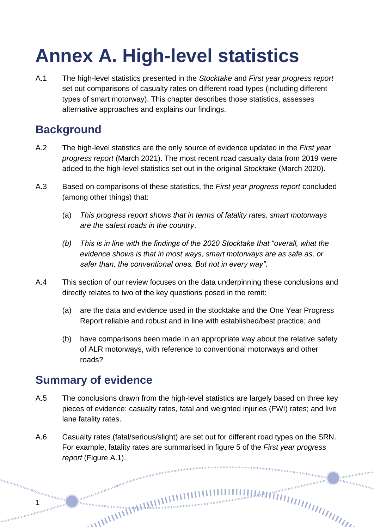# **Annex A. High-level statistics**

A.1 The high-level statistics presented in the *Stocktake* and *First year progress report*  set out comparisons of casualty rates on different road types (including different types of smart motorway). This chapter describes those statistics, assesses alternative approaches and explains our findings.

### **Background**

- A.2 The high-level statistics are the only source of evidence updated in the *First year progress report* (March 2021). The most recent road casualty data from 2019 were added to the high-level statistics set out in the original *Stocktake* (March 2020).
- A.3 Based on comparisons of these statistics, the *First year progress report* concluded (among other things) that:
	- (a) *This progress report shows that in terms of fatality rates, smart motorways are the safest roads in the country*.
	- *(b) This is in line with the findings of the 2020 Stocktake that "overall, what the evidence shows is that in most ways, smart motorways are as safe as, or safer than, the conventional ones. But not in every way".*
- A.4 This section of our review focuses on the data underpinning these conclusions and directly relates to two of the key questions posed in the remit:
	- (a) are the data and evidence used in the stocktake and the One Year Progress Report reliable and robust and in line with established/best practice; and
	- (b) have comparisons been made in an appropriate way about the relative safety of ALR motorways, with reference to conventional motorways and other roads?

### **Summary of evidence**

1

- A.5 The conclusions drawn from the high-level statistics are largely based on three key pieces of evidence: casualty rates, fatal and weighted injuries (FWI) rates; and live lane fatality rates.
- A.6 Casualty rates (fatal/serious/slight) are set out for different road types on the SRN. For example, fatality rates are summarised in figure 5 of the *First year progress report* (Figure A.1).

nummunum

annonom inn<sub>innin</sub>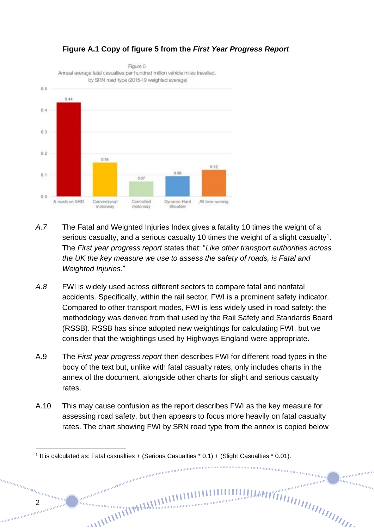

#### **Figure A.1 Copy of figure 5 from the** *First Year Progress Report*

- *A.7* The Fatal and Weighted Injuries Index gives a fatality 10 times the weight of a serious casualty, and a serious casualty 10 times the weight of a slight casualty<sup>1</sup>. The *First year progress report* states that: "*Like other transport authorities across the UK the key measure we use to assess the safety of roads, is Fatal and Weighted Injuries*."
- *A.8* FWI is widely used across different sectors to compare fatal and nonfatal accidents. Specifically, within the rail sector, FWI is a prominent safety indicator. Compared to other transport modes, FWI is less widely used in road safety: the methodology was derived from that used by the Rail Safety and Standards Board (RSSB). RSSB has since adopted new weightings for calculating FWI, but we consider that the weightings used by Highways England were appropriate.
- A.9 The *First year progress report* then describes FWI for different road types in the body of the text but, unlike with fatal casualty rates, only includes charts in the annex of the document, alongside other charts for slight and serious casualty rates.
- A.10 This may cause confusion as the report describes FWI as the key measure for assessing road safety, but then appears to focus more heavily on fatal casualty rates. The chart showing FWI by SRN road type from the annex is copied below

<sup>ntummumm</sup>

anananan in<sub>nnmmn</sub>

anaaaaaa

<sup>&</sup>lt;sup>1</sup> It is calculated as: Fatal casualties + (Serious Casualties \* 0.1) + (Slight Casualties \* 0.01).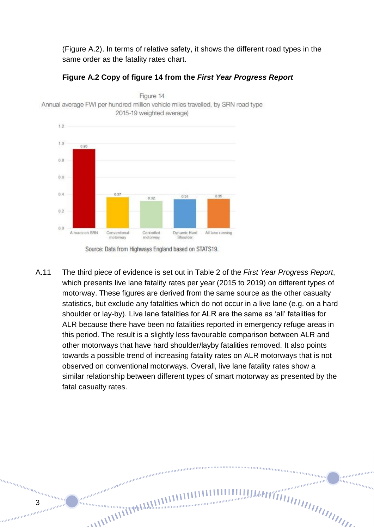(Figure A.2). In terms of relative safety, it shows the different road types in the same order as the fatality rates chart.

#### **Figure A.2 Copy of figure 14 from the** *First Year Progress Report*



<sup>htin</sup>inin<sub>inininin</sub>inininininininin<br>3<br><sub>3</sub>

Figure 14

meningangangangangangangangangang

**Communications** 

a<sub>tti</sub>

A.11 The third piece of evidence is set out in Table 2 of the *First Year Progress Report*, which presents live lane fatality rates per year (2015 to 2019) on different types of motorway. These figures are derived from the same source as the other casualty statistics, but exclude any fatalities which do not occur in a live lane (e.g. on a hard shoulder or lay-by). Live lane fatalities for ALR are the same as 'all' fatalities for ALR because there have been no fatalities reported in emergency refuge areas in this period. The result is a slightly less favourable comparison between ALR and other motorways that have hard shoulder/layby fatalities removed. It also points towards a possible trend of increasing fatality rates on ALR motorways that is not observed on conventional motorways. Overall, live lane fatality rates show a similar relationship between different types of smart motorway as presented by the fatal casualty rates.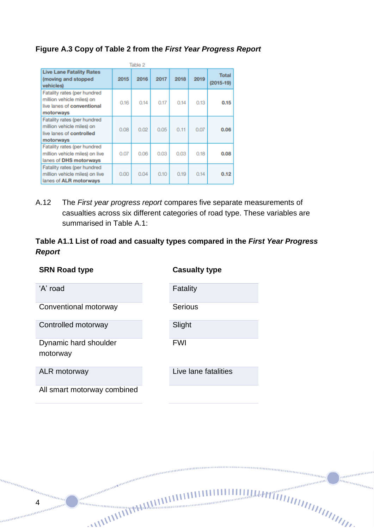#### **Figure A.3 Copy of Table 2 from the** *First Year Progress Report*

| Table 2                                                                                             |      |      |      |      |      |                             |  |
|-----------------------------------------------------------------------------------------------------|------|------|------|------|------|-----------------------------|--|
| <b>Live Lane Fatality Rates</b><br>(moving and stopped<br>vehicles)                                 | 2015 | 2016 | 2017 | 2018 | 2019 | <b>Total</b><br>$(2015-19)$ |  |
| Fatality rates (per hundred<br>million vehicle miles) on<br>live lanes of conventional<br>motorways | 0.16 | 0.14 | 0.17 | 0.14 | 0.13 | 0.15                        |  |
| Fatality rates (per hundred<br>million vehicle miles) on<br>live lanes of controlled<br>motorways   | 0.08 | 0.02 | 0.05 | 0.11 | 0.07 | 0.06                        |  |
| Fatality rates (per hundred<br>million vehicle miles) on live<br>lanes of DHS motorways             | 0.07 | 0.06 | 0.03 | 0.03 | 0.18 | 0.08                        |  |
| Fatality rates (per hundred<br>million vehicle miles) on live<br>lanes of ALR motorways             | 0.00 | 0.04 | 0.10 | 0.19 | 0.14 | 0.12                        |  |

A.12 The *First year progress report* compares five separate measurements of casualties across six different categories of road type. These variables are summarised in Table A.1:

#### **Table A1.1 List of road and casualty types compared in the** *First Year Progress Report*

Conventional motorway

Controlled motorway

Dynamic hard shoulder motorway

4

All smart motorway combined

inn

## **SRN Road type Casualty type**

| Fatality       |  |
|----------------|--|
| <b>Serious</b> |  |
| Slight         |  |
| <b>FWI</b>     |  |

ALR motorway **Live lane fatalities** 

munimunimun

menamamamamamam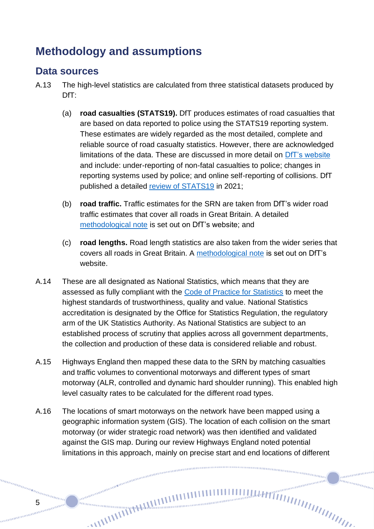### **Methodology and assumptions**

### **Data sources**

5

- A.13 The high-level statistics are calculated from three statistical datasets produced by DfT:
	- (a) **road casualties (STATS19).** DfT produces estimates of road casualties that are based on data reported to police using the STATS19 reporting system. These estimates are widely regarded as the most detailed, complete and reliable source of road casualty statistics. However, there are acknowledged limitations of the data. These are discussed in more detail on [DfT's website](https://assets.publishing.service.gov.uk/government/uploads/system/uploads/attachment_data/file/259012/rrcgb-quality-statement.pdf) and include: under-reporting of non-fatal casualties to police; changes in reporting systems used by police; and online self-reporting of collisions. DfT published a detailed [review of STATS19](https://assets.publishing.service.gov.uk/government/uploads/system/uploads/attachment_data/file/962579/stats19-review.pdf) in 2021;
	- (b) **road traffic.** Traffic estimates for the SRN are taken from DfT's wider road traffic estimates that cover all roads in Great Britain. A detailed [methodological note](https://assets.publishing.service.gov.uk/government/uploads/system/uploads/attachment_data/file/524848/annual-methodology-note.pdf) is set out on DfT's website; and
	- (c) **road lengths.** Road length statistics are also taken from the wider series that covers all roads in Great Britain. A [methodological note](https://assets.publishing.service.gov.uk/government/uploads/system/uploads/attachment_data/file/860024/road-length-statistics-methodology.pdf) is set out on DfT's website.
- A.14 These are all designated as National Statistics, which means that they are assessed as fully compliant with the [Code of Practice for Statistics](https://code.statisticsauthority.gov.uk/the-code/) to meet the highest standards of trustworthiness, quality and value. National Statistics accreditation is designated by the Office for Statistics Regulation, the regulatory arm of the UK Statistics Authority. As National Statistics are subject to an established process of scrutiny that applies across all government departments, the collection and production of these data is considered reliable and robust.
- A.15 Highways England then mapped these data to the SRN by matching casualties and traffic volumes to conventional motorways and different types of smart motorway (ALR, controlled and dynamic hard shoulder running). This enabled high level casualty rates to be calculated for the different road types.
- A.16 The locations of smart motorways on the network have been mapped using a geographic information system (GIS). The location of each collision on the smart motorway (or wider strategic road network) was then identified and validated against the GIS map. During our review Highways England noted potential limitations in this approach, mainly on precise start and end locations of different<br> $\frac{1}{2}$

nnnnnnnnnna (1930)<br>Tannannan

ammanan inn<sub>innin</sub>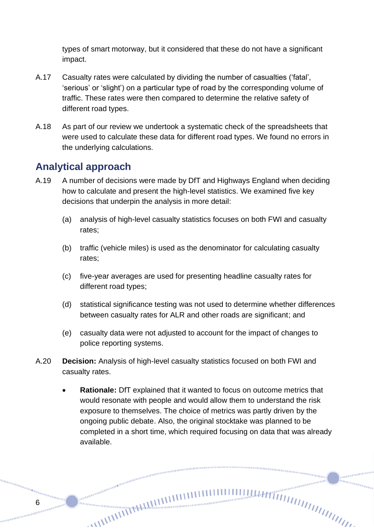types of smart motorway, but it considered that these do not have a significant impact.

- A.17 Casualty rates were calculated by dividing the number of casualties ('fatal', 'serious' or 'slight') on a particular type of road by the corresponding volume of traffic. These rates were then compared to determine the relative safety of different road types.
- A.18 As part of our review we undertook a systematic check of the spreadsheets that were used to calculate these data for different road types. We found no errors in the underlying calculations.

### **Analytical approach**

6

annan

- A.19 A number of decisions were made by DfT and Highways England when deciding how to calculate and present the high-level statistics. We examined five key decisions that underpin the analysis in more detail:
	- (a) analysis of high-level casualty statistics focuses on both FWI and casualty rates;
	- (b) traffic (vehicle miles) is used as the denominator for calculating casualty rates;
	- (c) five-year averages are used for presenting headline casualty rates for different road types;
	- (d) statistical significance testing was not used to determine whether differences between casualty rates for ALR and other roads are significant; and
	- (e) casualty data were not adjusted to account for the impact of changes to police reporting systems.
- A.20 **Decision:** Analysis of high-level casualty statistics focused on both FWI and casualty rates.

• **Rationale:** DfT explained that it wanted to focus on outcome metrics that would resonate with people and would allow them to understand the risk exposure to themselves. The choice of metrics was partly driven by the ongoing public debate. Also, the original stocktake was planned to be completed in a short time, which required focusing on data that was already available.

 $m n_{\rm 100mmpc}$ 

munimum

in<sub>nnmmm</sub>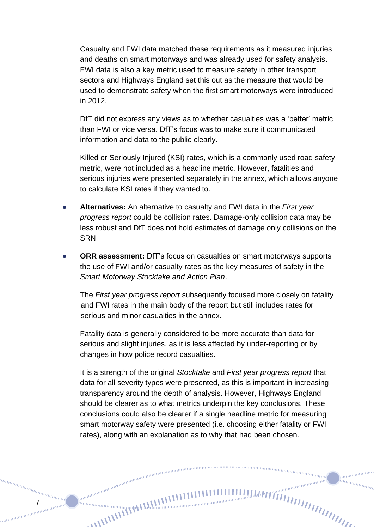Casualty and FWI data matched these requirements as it measured injuries and deaths on smart motorways and was already used for safety analysis. FWI data is also a key metric used to measure safety in other transport sectors and Highways England set this out as the measure that would be used to demonstrate safety when the first smart motorways were introduced in 2012.

DfT did not express any views as to whether casualties was a 'better' metric than FWI or vice versa. DfT's focus was to make sure it communicated information and data to the public clearly.

Killed or Seriously Injured (KSI) rates, which is a commonly used road safety metric, were not included as a headline metric. However, fatalities and serious injuries were presented separately in the annex, which allows anyone to calculate KSI rates if they wanted to.

- **Alternatives:** An alternative to casualty and FWI data in the *First year progress report* could be collision rates. Damage-only collision data may be less robust and DfT does not hold estimates of damage only collisions on the **SRN**
- **ORR assessment:** DfT's focus on casualties on smart motorways supports the use of FWI and/or casualty rates as the key measures of safety in the *Smart Motorway Stocktake and Action Plan*.

The *First year progress report* subsequently focused more closely on fatality and FWI rates in the main body of the report but still includes rates for serious and minor casualties in the annex.

Fatality data is generally considered to be more accurate than data for serious and slight injuries, as it is less affected by under-reporting or by changes in how police record casualties.

It is a strength of the original *Stocktake* and *First year progress report* that data for all severity types were presented, as this is important in increasing transparency around the depth of analysis. However, Highways England should be clearer as to what metrics underpin the key conclusions. These conclusions could also be clearer if a single headline metric for measuring smart motorway safety were presented (i.e. choosing either fatality or FWI rates), along with an explanation as to why that had been chosen.

anananan

in<sub>nnmmm</sub>

**COMPOSITION IN THE REAL ARTICLE IN THE REAL AND LABOUR COMPOSITION** 

anning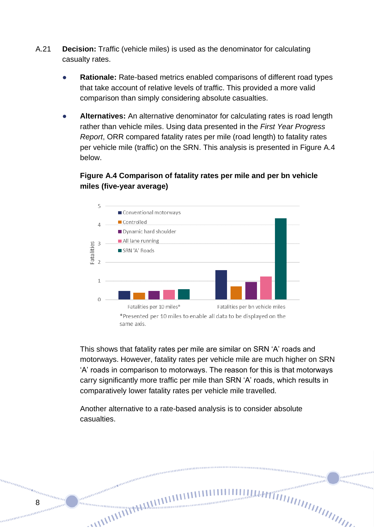- A.21 **Decision:** Traffic (vehicle miles) is used as the denominator for calculating casualty rates.
	- **Rationale:** Rate-based metrics enabled comparisons of different road types that take account of relative levels of traffic. This provided a more valid comparison than simply considering absolute casualties.
	- **Alternatives:** An alternative denominator for calculating rates is road length rather than vehicle miles. Using data presented in the *First Year Progress Report*, ORR compared fatality rates per mile (road length) to fatality rates per vehicle mile (traffic) on the SRN. This analysis is presented in Figure A.4 below.

### **Figure A.4 Comparison of fatality rates per mile and per bn vehicle miles (five-year average)**



This shows that fatality rates per mile are similar on SRN 'A' roads and motorways. However, fatality rates per vehicle mile are much higher on SRN 'A' roads in comparison to motorways. The reason for this is that motorways carry significantly more traffic per mile than SRN 'A' roads, which results in comparatively lower fatality rates per vehicle mile travelled.

aaaaaaaaaaa

mmm

Another alternative to a rate-based analysis is to consider absolute casualties.

meningangangangangangangangangang

**Communications** 

annan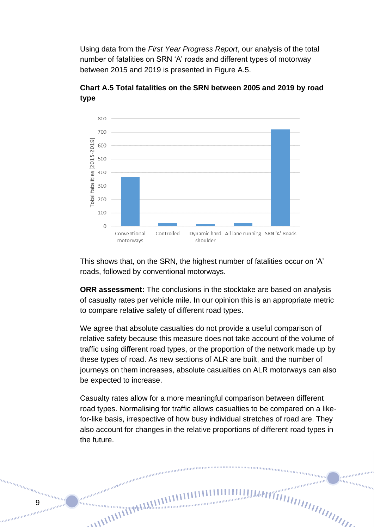Using data from the *First Year Progress Report*, our analysis of the total number of fatalities on SRN 'A' roads and different types of motorway between 2015 and 2019 is presented in Figure A.5.



**Chart A.5 Total fatalities on the SRN between 2005 and 2019 by road type**

This shows that, on the SRN, the highest number of fatalities occur on 'A' roads, followed by conventional motorways.

**ORR assessment:** The conclusions in the stocktake are based on analysis of casualty rates per vehicle mile. In our opinion this is an appropriate metric to compare relative safety of different road types.

We agree that absolute casualties do not provide a useful comparison of relative safety because this measure does not take account of the volume of traffic using different road types, or the proportion of the network made up by these types of road. As new sections of ALR are built, and the number of journeys on them increases, absolute casualties on ALR motorways can also be expected to increase.

Casualty rates allow for a more meaningful comparison between different road types. Normalising for traffic allows casualties to be compared on a likefor-like basis, irrespective of how busy individual stretches of road are. They also account for changes in the relative proportions of different road types in the future.

anananananan

**Communication of the AMERICAN SECTION** 

 $9\overline{9}$ 

n<sub>ininin</sub>

 $m_{\tilde{H}l\tilde{H}l\tilde{H}l\tilde{H}l\tilde{H}l\tilde{H}l}$ 

aaaaaaaaaa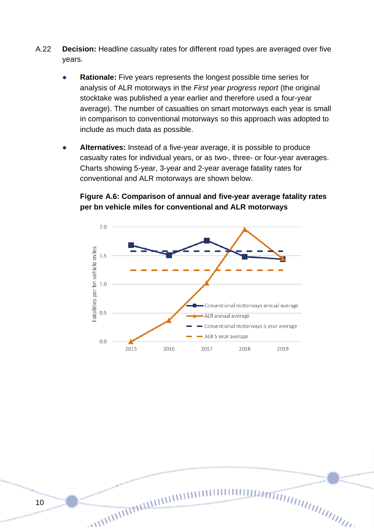- A.22 **Decision:** Headline casualty rates for different road types are averaged over five years.
	- **Rationale:** Five years represents the longest possible time series for analysis of ALR motorways in the *First year progress report* (the original stocktake was published a year earlier and therefore used a four-year average). The number of casualties on smart motorways each year is small in comparison to conventional motorways so this approach was adopted to include as much data as possible.
	- Alternatives: Instead of a five-year average, it is possible to produce casualty rates for individual years, or as two-, three- or four-year averages. Charts showing 5-year, 3-year and 2-year average fatality rates for conventional and ALR motorways are shown below.

**Figure A.6: Comparison of annual and five-year average fatality rates per bn vehicle miles for conventional and ALR motorways**



memmummummummummummum

**ALLINDURING STATES** 

in<sub>n</sub>

nommunimumimumi<br>10<br>10 maamuunimumimumi

un<sub>inininininin</sub>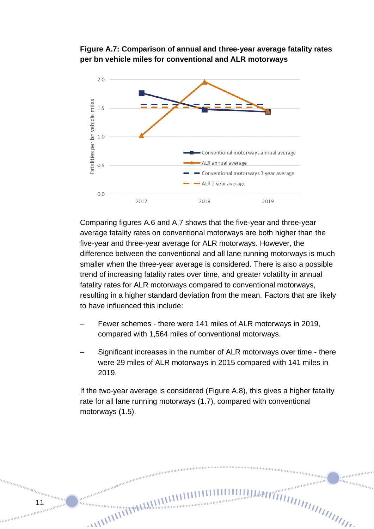#### **Figure A.7: Comparison of annual and three-year average fatality rates per bn vehicle miles for conventional and ALR motorways**



Comparing figures A.6 and A.7 shows that the five-year and three-year average fatality rates on conventional motorways are both higher than the five-year and three-year average for ALR motorways. However, the difference between the conventional and all lane running motorways is much smaller when the three-year average is considered. There is also a possible trend of increasing fatality rates over time, and greater volatility in annual fatality rates for ALR motorways compared to conventional motorways, resulting in a higher standard deviation from the mean. Factors that are likely to have influenced this include:

- Fewer schemes there were 141 miles of ALR motorways in 2019, compared with 1,564 miles of conventional motorways.
- Significant increases in the number of ALR motorways over time there were 29 miles of ALR motorways in 2015 compared with 141 miles in 2019.

If the two-year average is considered (Figure A.8), this gives a higher fatality rate for all lane running motorways (1.7), compared with conventional motorways (1.5).

memmummummummummummum

**Communications** 

anna

11

 $a_{m_{\bar{u}_{l}}}_{\bar{u}_{l}}$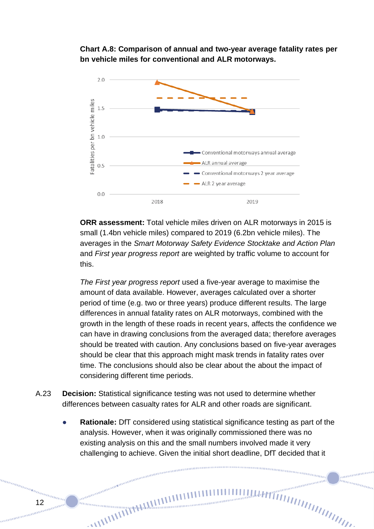**Chart A.8: Comparison of annual and two-year average fatality rates per bn vehicle miles for conventional and ALR motorways.**



**ORR assessment:** Total vehicle miles driven on ALR motorways in 2015 is small (1.4bn vehicle miles) compared to 2019 (6.2bn vehicle miles). The averages in the *Smart Motorway Safety Evidence Stocktake and Action Plan* and *First year progress report* are weighted by traffic volume to account for this.

*The First year progress report* used a five-year average to maximise the amount of data available. However, averages calculated over a shorter period of time (e.g. two or three years) produce different results. The large differences in annual fatality rates on ALR motorways, combined with the growth in the length of these roads in recent years, affects the confidence we can have in drawing conclusions from the averaged data; therefore averages should be treated with caution. Any conclusions based on five-year averages should be clear that this approach might mask trends in fatality rates over time. The conclusions should also be clear about the about the impact of considering different time periods.

A.23 **Decision:** Statistical significance testing was not used to determine whether differences between casualty rates for ALR and other roads are significant.

anananananan

**Communications** 

**Rationale:** DfT considered using statistical significance testing as part of the analysis. However, when it was originally commissioned there was no existing analysis on this and the small numbers involved made it very challenging to achieve. Given the initial short deadline, DfT decided that it

12

inn

 $m_{\tilde{H}l\tilde{H}l\tilde{H}l\tilde{H}l\tilde{H}l\tilde{H}l}$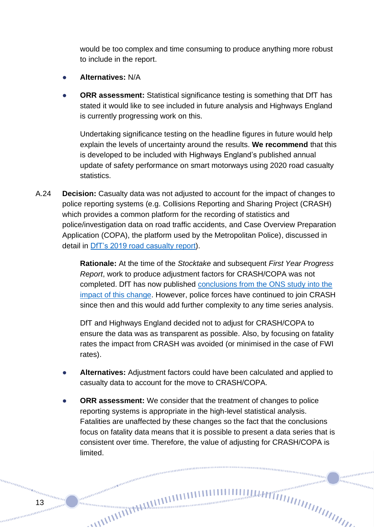would be too complex and time consuming to produce anything more robust to include in the report.

- **Alternatives:** N/A
- **ORR assessment:** Statistical significance testing is something that DfT has stated it would like to see included in future analysis and Highways England is currently progressing work on this.

Undertaking significance testing on the headline figures in future would help explain the levels of uncertainty around the results. **We recommend** that this is developed to be included with Highways England's published annual update of safety performance on smart motorways using 2020 road casualty statistics.

A.24 **Decision:** Casualty data was not adjusted to account for the impact of changes to police reporting systems (e.g. Collisions Reporting and Sharing Project (CRASH) which provides a common platform for the recording of statistics and police/investigation data on road traffic accidents, and Case Overview Preparation Application (COPA), the platform used by the Metropolitan Police), discussed in detail in [DfT's 2019 road casualty](https://assets.publishing.service.gov.uk/government/uploads/system/uploads/attachment_data/file/922708/annex-update-severity-adjustments-methodology.pdf) report).

> **Rationale:** At the time of the *Stocktake* and subsequent *First Year Progress Report*, work to produce adjustment factors for CRASH/COPA was not completed. DfT has now published [conclusions from the ONS study into the](https://assets.publishing.service.gov.uk/government/uploads/system/uploads/attachment_data/file/922708/annex-update-severity-adjustments-methodology.pdf)  [impact of this change.](https://assets.publishing.service.gov.uk/government/uploads/system/uploads/attachment_data/file/922708/annex-update-severity-adjustments-methodology.pdf) However, police forces have continued to join CRASH since then and this would add further complexity to any time series analysis.

> DfT and Highways England decided not to adjust for CRASH/COPA to ensure the data was as transparent as possible. Also, by focusing on fatality rates the impact from CRASH was avoided (or minimised in the case of FWI rates).

- Alternatives: Adjustment factors could have been calculated and applied to casualty data to account for the move to CRASH/COPA.
- **ORR assessment:** We consider that the treatment of changes to police reporting systems is appropriate in the high-level statistical analysis. Fatalities are unaffected by these changes so the fact that the conclusions focus on fatality data means that it is possible to present a data series that is consistent over time. Therefore, the value of adjusting for CRASH/COPA is limited.

 $\frac{m n_{\text{min}}}{\sqrt{m}}$ 

anananana in<sub>nnmmm</sub>

anana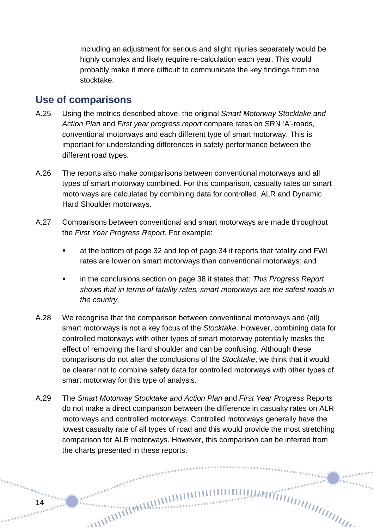Including an adjustment for serious and slight injuries separately would be highly complex and likely require re-calculation each year. This would probably make it more difficult to communicate the key findings from the stocktake.

### **Use of comparisons**

- A.25 Using the metrics described above, the original *Smart Motorway Stocktake and Action Plan* and *First year progress report* compare rates on SRN 'A'-roads, conventional motorways and each different type of smart motorway. This is important for understanding differences in safety performance between the different road types.
- A.26 The reports also make comparisons between conventional motorways and all types of smart motorway combined. For this comparison, casualty rates on smart motorways are calculated by combining data for controlled, ALR and Dynamic Hard Shoulder motorways.
- A.27 Comparisons between conventional and smart motorways are made throughout the *First Year Progress Report*. For example:
	- at the bottom of page 32 and top of page 34 it reports that fatality and FWI rates are lower on smart motorways than conventional motorways; and
	- in the conclusions section on page 38 it states that: *This Progress Report shows that in terms of fatality rates, smart motorways are the safest roads in the country.*
- A.28 We recognise that the comparison between conventional motorways and (all) smart motorways is not a key focus of the *Stocktake*. However, combining data for controlled motorways with other types of smart motorway potentially masks the effect of removing the hard shoulder and can be confusing. Although these comparisons do not alter the conclusions of the *Stocktake*, we think that it would be clearer not to combine safety data for controlled motorways with other types of smart motorway for this type of analysis.
- A.29 The *Smart Motorway Stocktake and Action Plan* and *First Year Progress* Reports do not make a direct comparison between the difference in casualty rates on ALR motorways and controlled motorways. Controlled motorways generally have the lowest casualty rate of all types of road and this would provide the most stretching comparison for ALR motorways. However, this comparison can be inferred from the charts presented in these reports.

 $m n_{\rm 100mmpc}$ 

ammanan in<sub>nnmmm</sub>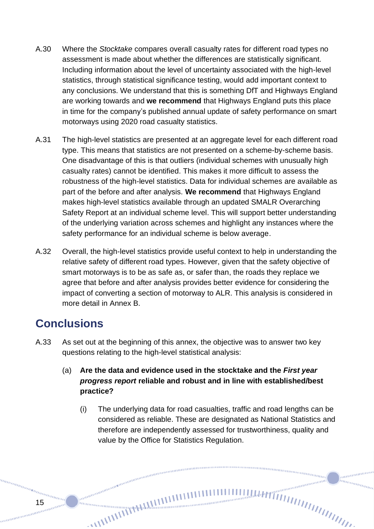- A.30 Where the *Stocktake* compares overall casualty rates for different road types no assessment is made about whether the differences are statistically significant. Including information about the level of uncertainty associated with the high-level statistics, through statistical significance testing, would add important context to any conclusions. We understand that this is something DfT and Highways England are working towards and **we recommend** that Highways England puts this place in time for the company's published annual update of safety performance on smart motorways using 2020 road casualty statistics.
- A.31 The high-level statistics are presented at an aggregate level for each different road type. This means that statistics are not presented on a scheme-by-scheme basis. One disadvantage of this is that outliers (individual schemes with unusually high casualty rates) cannot be identified. This makes it more difficult to assess the robustness of the high-level statistics. Data for individual schemes are available as part of the before and after analysis. **We recommend** that Highways England makes high-level statistics available through an updated SMALR Overarching Safety Report at an individual scheme level. This will support better understanding of the underlying variation across schemes and highlight any instances where the safety performance for an individual scheme is below average.
- A.32 Overall, the high-level statistics provide useful context to help in understanding the relative safety of different road types. However, given that the safety objective of smart motorways is to be as safe as, or safer than, the roads they replace we agree that before and after analysis provides better evidence for considering the impact of converting a section of motorway to ALR. This analysis is considered in more detail in Annex B.

### **Conclusions**

annan

<sup>tan</sup>an<sub>ananan</sub><br>15<br><sub>19</sub> maanananananananananan

A.33 As set out at the beginning of this annex, the objective was to answer two key questions relating to the high-level statistical analysis:

annon annon annon annon annon annon anno

- (a) **Are the data and evidence used in the stocktake and the** *First year progress report* **reliable and robust and in line with established/best practice?**
	- (i) The underlying data for road casualties, traffic and road lengths can be considered as reliable. These are designated as National Statistics and therefore are independently assessed for trustworthiness, quality and value by the Office for Statistics Regulation.

 $m n_{m n n m m}$ 

ammanan

in<sub>nnmmm</sub>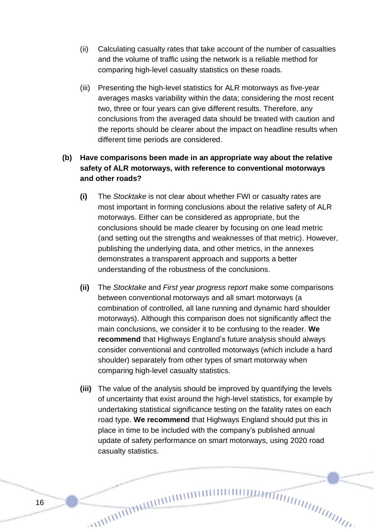- (ii) Calculating casualty rates that take account of the number of casualties and the volume of traffic using the network is a reliable method for comparing high-level casualty statistics on these roads.
- (iii) Presenting the high-level statistics for ALR motorways as five-year averages masks variability within the data; considering the most recent two, three or four years can give different results. Therefore, any conclusions from the averaged data should be treated with caution and the reports should be clearer about the impact on headline results when different time periods are considered.

### **(b) Have comparisons been made in an appropriate way about the relative safety of ALR motorways, with reference to conventional motorways and other roads?**

- **(i)** The *Stocktake* is not clear about whether FWI or casualty rates are most important in forming conclusions about the relative safety of ALR motorways. Either can be considered as appropriate, but the conclusions should be made clearer by focusing on one lead metric (and setting out the strengths and weaknesses of that metric). However, publishing the underlying data, and other metrics, in the annexes demonstrates a transparent approach and supports a better understanding of the robustness of the conclusions.
- **(ii)** The *Stocktake* and *First year progress report* make some comparisons between conventional motorways and all smart motorways (a combination of controlled, all lane running and dynamic hard shoulder motorways). Although this comparison does not significantly affect the main conclusions, we consider it to be confusing to the reader. **We recommend** that Highways England's future analysis should always consider conventional and controlled motorways (which include a hard shoulder) separately from other types of smart motorway when comparing high-level casualty statistics.
- **(iii)** The value of the analysis should be improved by quantifying the levels of uncertainty that exist around the high-level statistics, for example by undertaking statistical significance testing on the fatality rates on each road type. **We recommend** that Highways England should put this in place in time to be included with the company's published annual update of safety performance on smart motorways, using 2020 road casualty statistics.

nanaanaanaa

anananana

in<sub>nnmmm</sub>

16

annan